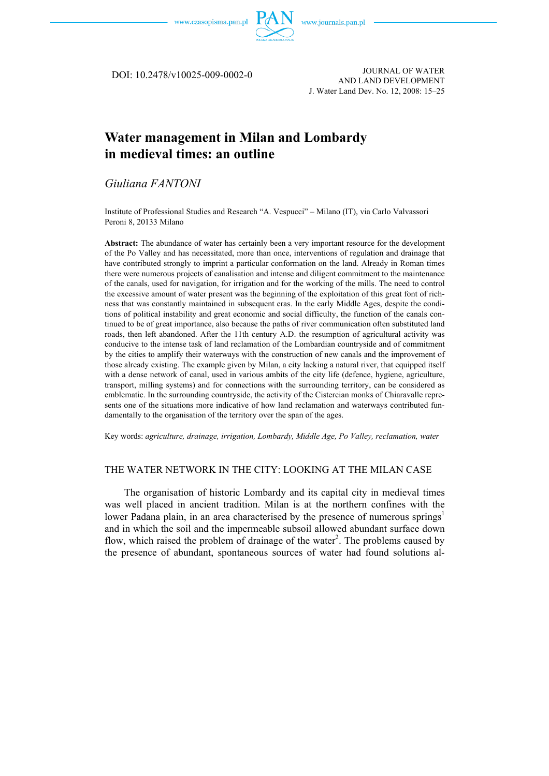

DOI: 10.2478/v10025-009-0002-0

JOURNAL OF WATER AND LAND DEVELOPMENT J. Water Land Dev. No. 12, 2008: 15–25

# **Water management in Milan and Lombardy in medieval times: an outline**

## *Giuliana FANTONI*

Institute of Professional Studies and Research "A. Vespucci" – Milano (IT), via Carlo Valvassori Peroni 8, 20133 Milano

**Abstract:** The abundance of water has certainly been a very important resource for the development of the Po Valley and has necessitated, more than once, interventions of regulation and drainage that have contributed strongly to imprint a particular conformation on the land. Already in Roman times there were numerous projects of canalisation and intense and diligent commitment to the maintenance of the canals, used for navigation, for irrigation and for the working of the mills. The need to control the excessive amount of water present was the beginning of the exploitation of this great font of richness that was constantly maintained in subsequent eras. In the early Middle Ages, despite the conditions of political instability and great economic and social difficulty, the function of the canals continued to be of great importance, also because the paths of river communication often substituted land roads, then left abandoned. After the 11th century A.D. the resumption of agricultural activity was conducive to the intense task of land reclamation of the Lombardian countryside and of commitment by the cities to amplify their waterways with the construction of new canals and the improvement of those already existing. The example given by Milan, a city lacking a natural river, that equipped itself with a dense network of canal, used in various ambits of the city life (defence, hygiene, agriculture, transport, milling systems) and for connections with the surrounding territory, can be considered as emblematic. In the surrounding countryside, the activity of the Cistercian monks of Chiaravalle represents one of the situations more indicative of how land reclamation and waterways contributed fundamentally to the organisation of the territory over the span of the ages.

Key words: *agriculture, drainage, irrigation, Lombardy, Middle Age, Po Valley, reclamation, water* 

#### THE WATER NETWORK IN THE CITY: LOOKING AT THE MILAN CASE

The organisation of historic Lombardy and its capital city in medieval times was well placed in ancient tradition. Milan is at the northern confines with the lower Padana plain, in an area characterised by the presence of numerous springs<sup>1</sup> and in which the soil and the impermeable subsoil allowed abundant surface down flow, which raised the problem of drainage of the water<sup>2</sup>. The problems caused by the presence of abundant, spontaneous sources of water had found solutions al-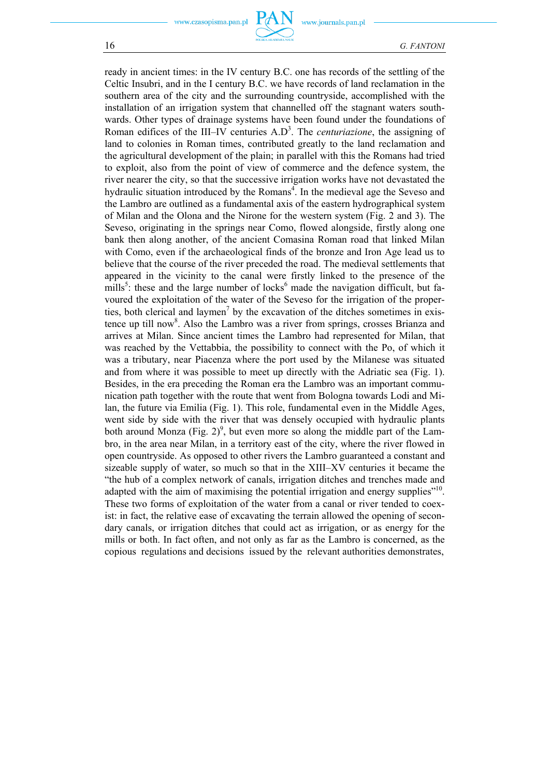www.journals.pan.pl

16 *G. FANTONI*

ready in ancient times: in the IV century B.C. one has records of the settling of the Celtic Insubri, and in the I century B.C. we have records of land reclamation in the southern area of the city and the surrounding countryside, accomplished with the installation of an irrigation system that channelled off the stagnant waters southwards. Other types of drainage systems have been found under the foundations of Roman edifices of the III–IV centuries A.D<sup>3</sup>. The *centuriazione*, the assigning of land to colonies in Roman times, contributed greatly to the land reclamation and the agricultural development of the plain; in parallel with this the Romans had tried to exploit, also from the point of view of commerce and the defence system, the river nearer the city, so that the successive irrigation works have not devastated the hydraulic situation introduced by the Romans<sup>4</sup>. In the medieval age the Seveso and the Lambro are outlined as a fundamental axis of the eastern hydrographical system of Milan and the Olona and the Nirone for the western system (Fig. 2 and 3). The Seveso, originating in the springs near Como, flowed alongside, firstly along one bank then along another, of the ancient Comasina Roman road that linked Milan with Como, even if the archaeological finds of the bronze and Iron Age lead us to believe that the course of the river preceded the road. The medieval settlements that appeared in the vicinity to the canal were firstly linked to the presence of the mills<sup>5</sup>: these and the large number of locks<sup>6</sup> made the navigation difficult, but favoured the exploitation of the water of the Seveso for the irrigation of the properties, both clerical and laymen<sup>7</sup> by the excavation of the ditches sometimes in existence up till now<sup>8</sup>. Also the Lambro was a river from springs, crosses Brianza and arrives at Milan. Since ancient times the Lambro had represented for Milan, that was reached by the Vettabbia, the possibility to connect with the Po, of which it was a tributary, near Piacenza where the port used by the Milanese was situated and from where it was possible to meet up directly with the Adriatic sea (Fig. 1). Besides, in the era preceding the Roman era the Lambro was an important communication path together with the route that went from Bologna towards Lodi and Milan, the future via Emilia (Fig. 1). This role, fundamental even in the Middle Ages, went side by side with the river that was densely occupied with hydraulic plants both around Monza (Fig. 2)<sup>9</sup>, but even more so along the middle part of the Lambro, in the area near Milan, in a territory east of the city, where the river flowed in open countryside. As opposed to other rivers the Lambro guaranteed a constant and sizeable supply of water, so much so that in the XIII–XV centuries it became the "the hub of a complex network of canals, irrigation ditches and trenches made and adapted with the aim of maximising the potential irrigation and energy supplies"<sup>10</sup>. These two forms of exploitation of the water from a canal or river tended to coexist: in fact, the relative ease of excavating the terrain allowed the opening of secondary canals, or irrigation ditches that could act as irrigation, or as energy for the mills or both. In fact often, and not only as far as the Lambro is concerned, as the copious regulations and decisions issued by the relevant authorities demonstrates,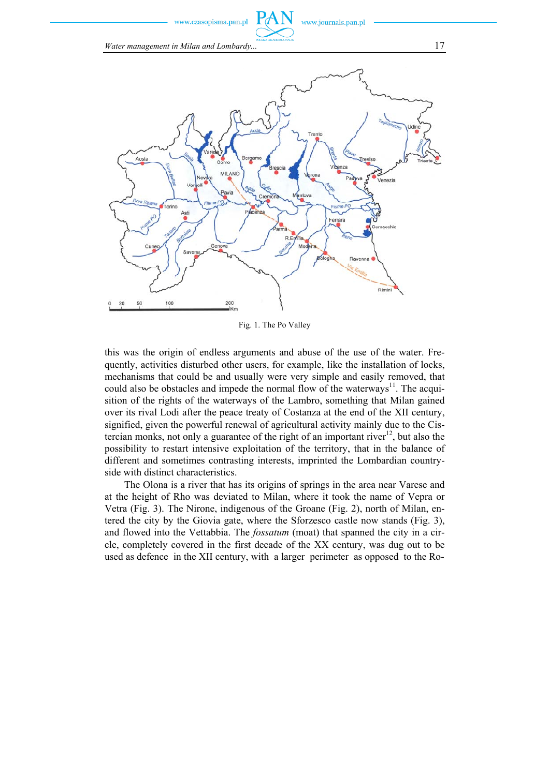w.czasopisma.pan.pl

www.journals.pan.pl

*Water management in Milan and Lombardy...* 17



Fig. 1. The Po Valley

this was the origin of endless arguments and abuse of the use of the water. Frequently, activities disturbed other users, for example, like the installation of locks, mechanisms that could be and usually were very simple and easily removed, that could also be obstacles and impede the normal flow of the waterways<sup>11</sup>. The acquisition of the rights of the waterways of the Lambro, something that Milan gained over its rival Lodi after the peace treaty of Costanza at the end of the XII century, signified, given the powerful renewal of agricultural activity mainly due to the Cistercian monks, not only a guarantee of the right of an important river<sup>12</sup>, but also the possibility to restart intensive exploitation of the territory, that in the balance of different and sometimes contrasting interests, imprinted the Lombardian countryside with distinct characteristics.

The Olona is a river that has its origins of springs in the area near Varese and at the height of Rho was deviated to Milan, where it took the name of Vepra or Vetra (Fig. 3). The Nirone, indigenous of the Groane (Fig. 2), north of Milan, entered the city by the Giovia gate, where the Sforzesco castle now stands (Fig. 3), and flowed into the Vettabbia. The *fossatum* (moat) that spanned the city in a circle, completely covered in the first decade of the XX century, was dug out to be used as defence in the XII century, with a larger perimeter as opposed to the Ro-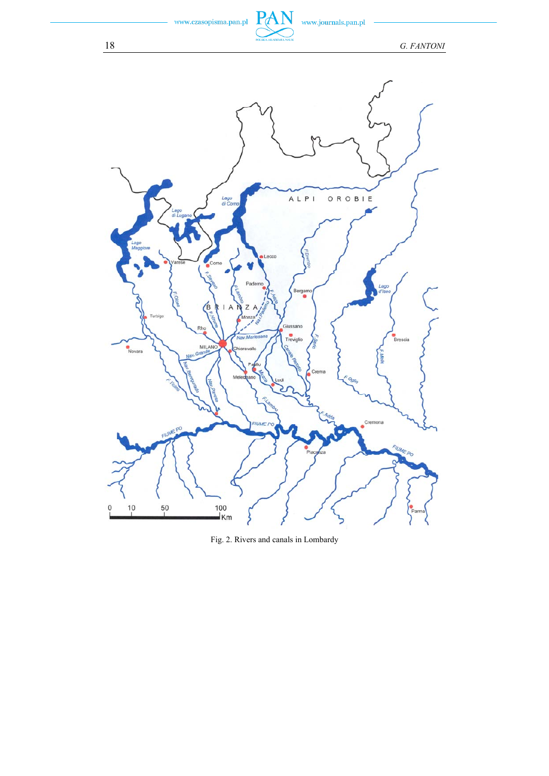

www.journals.pan.pl

PAN

18 *G. FANTONI*



Fig. 2. Rivers and canals in Lombardy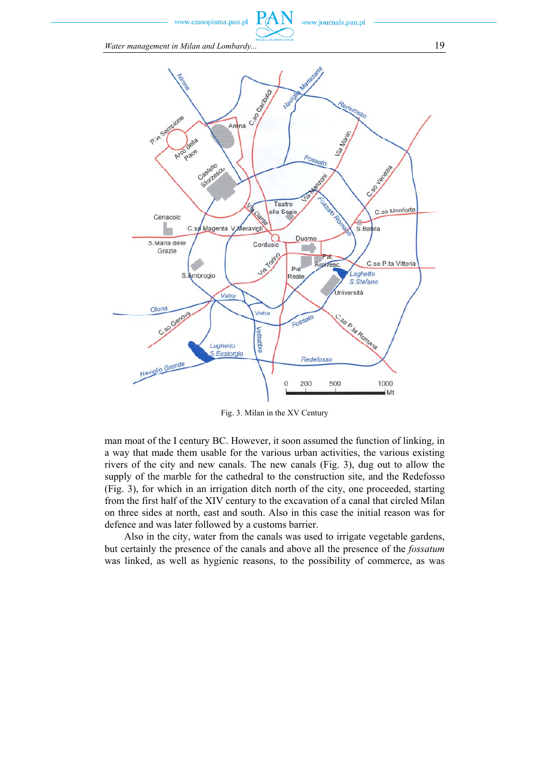www.czasopisma.pan.pl

www.journals.pan.pl

*Water management in Milan and Lombardy...* 19



Fig. 3. Milan in the XV Century

man moat of the I century BC. However, it soon assumed the function of linking, in a way that made them usable for the various urban activities, the various existing rivers of the city and new canals. The new canals (Fig. 3), dug out to allow the supply of the marble for the cathedral to the construction site, and the Redefosso (Fig. 3), for which in an irrigation ditch north of the city, one proceeded, starting from the first half of the XIV century to the excavation of a canal that circled Milan on three sides at north, east and south. Also in this case the initial reason was for defence and was later followed by a customs barrier.

Also in the city, water from the canals was used to irrigate vegetable gardens, but certainly the presence of the canals and above all the presence of the *fossatum* was linked, as well as hygienic reasons, to the possibility of commerce, as was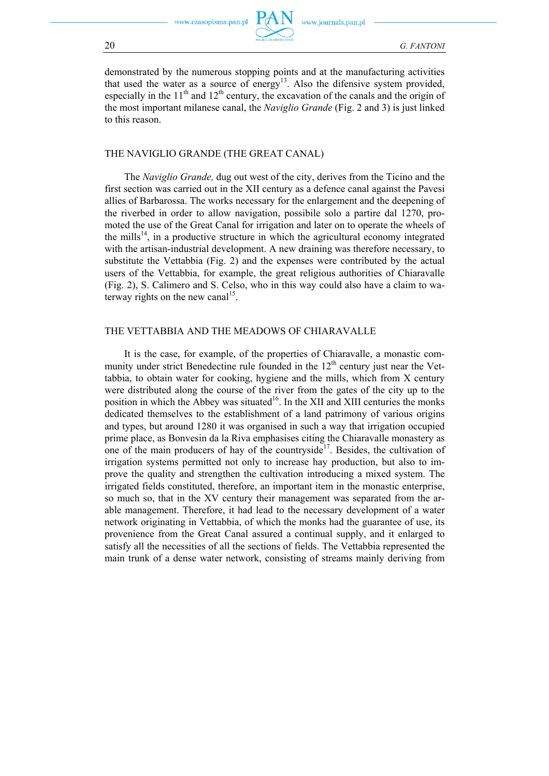

ww.journals.pan.pl

demonstrated by the numerous stopping points and at the manufacturing activities that used the water as a source of energy<sup>13</sup>. Also the difensive system provided, especially in the  $11<sup>th</sup>$  and  $12<sup>th</sup>$  century, the excavation of the canals and the origin of the most important milanese canal, the *Naviglio Grande* (Fig. 2 and 3) is just linked to this reason.

#### THE NAVIGLIO GRANDE (THE GREAT CANAL)

The *Naviglio Grande,* dug out west of the city, derives from the Ticino and the first section was carried out in the XII century as a defence canal against the Pavesi allies of Barbarossa. The works necessary for the enlargement and the deepening of the riverbed in order to allow navigation, possibile solo a partire dal 1270, promoted the use of the Great Canal for irrigation and later on to operate the wheels of the mills<sup>14</sup>, in a productive structure in which the agricultural economy integrated with the artisan-industrial development. A new draining was therefore necessary, to substitute the Vettabbia (Fig. 2) and the expenses were contributed by the actual users of the Vettabbia, for example, the great religious authorities of Chiaravalle (Fig. 2), S. Calimero and S. Celso, who in this way could also have a claim to waterway rights on the new canal<sup>15</sup>.

#### THE VETTABBIA AND THE MEADOWS OF CHIARAVALLE

It is the case, for example, of the properties of Chiaravalle, a monastic community under strict Benedectine rule founded in the 12<sup>th</sup> century just near the Vettabbia, to obtain water for cooking, hygiene and the mills, which from X century were distributed along the course of the river from the gates of the city up to the position in which the Abbey was situated<sup>16</sup>. In the XII and XIII centuries the monks dedicated themselves to the establishment of a land patrimony of various origins and types, but around 1280 it was organised in such a way that irrigation occupied prime place, as Bonvesin da la Riva emphasises citing the Chiaravalle monastery as one of the main producers of hay of the countryside<sup>17</sup>. Besides, the cultivation of irrigation systems permitted not only to increase hay production, but also to improve the quality and strengthen the cultivation introducing a mixed system. The irrigated fields constituted, therefore, an important item in the monastic enterprise, so much so, that in the XV century their management was separated from the arable management. Therefore, it had lead to the necessary development of a water network originating in Vettabbia, of which the monks had the guarantee of use, its provenience from the Great Canal assured a continual supply, and it enlarged to satisfy all the necessities of all the sections of fields. The Vettabbia represented the main trunk of a dense water network, consisting of streams mainly deriving from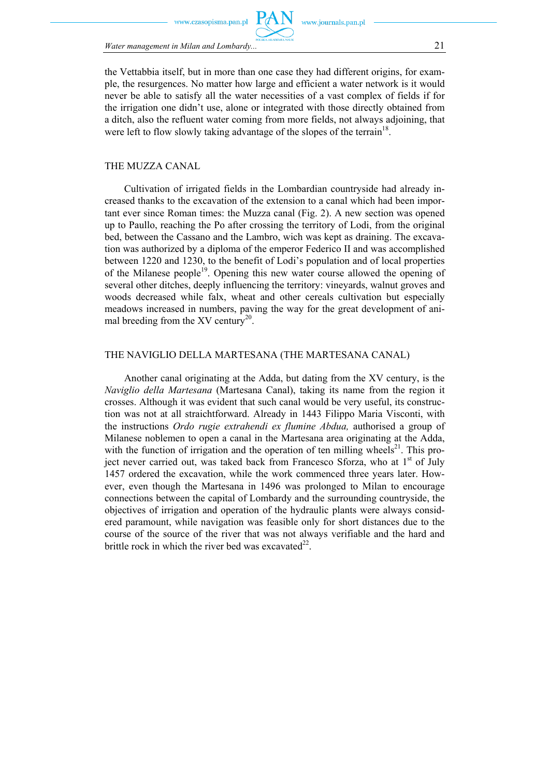zasonisma nan nl



*Water management in Milan and Lombardy...* 21

the Vettabbia itself, but in more than one case they had different origins, for example, the resurgences. No matter how large and efficient a water network is it would never be able to satisfy all the water necessities of a vast complex of fields if for the irrigation one didn't use, alone or integrated with those directly obtained from a ditch, also the refluent water coming from more fields, not always adjoining, that were left to flow slowly taking advantage of the slopes of the terrain<sup>18</sup>.

#### THE MUZZA CANAL

Cultivation of irrigated fields in the Lombardian countryside had already increased thanks to the excavation of the extension to a canal which had been important ever since Roman times: the Muzza canal (Fig. 2). A new section was opened up to Paullo, reaching the Po after crossing the territory of Lodi, from the original bed, between the Cassano and the Lambro, wich was kept as draining. The excavation was authorized by a diploma of the emperor Federico II and was accomplished between 1220 and 1230, to the benefit of Lodi's population and of local properties of the Milanese people<sup>19</sup>. Opening this new water course allowed the opening of several other ditches, deeply influencing the territory: vineyards, walnut groves and woods decreased while falx, wheat and other cereals cultivation but especially meadows increased in numbers, paving the way for the great development of animal breeding from the XV century<sup>20</sup>.

#### THE NAVIGLIO DELLA MARTESANA (THE MARTESANA CANAL)

Another canal originating at the Adda, but dating from the XV century, is the *Naviglio della Martesana* (Martesana Canal), taking its name from the region it crosses. Although it was evident that such canal would be very useful, its construction was not at all straichtforward. Already in 1443 Filippo Maria Visconti, with the instructions *Ordo rugie extrahendi ex flumine Abdua,* authorised a group of Milanese noblemen to open a canal in the Martesana area originating at the Adda, with the function of irrigation and the operation of ten milling wheels<sup>21</sup>. This project never carried out, was taked back from Francesco Sforza, who at  $1<sup>st</sup>$  of July 1457 ordered the excavation, while the work commenced three years later. However, even though the Martesana in 1496 was prolonged to Milan to encourage connections between the capital of Lombardy and the surrounding countryside, the objectives of irrigation and operation of the hydraulic plants were always considered paramount, while navigation was feasible only for short distances due to the course of the source of the river that was not always verifiable and the hard and brittle rock in which the river bed was excavated  $22<sup>2</sup>$ .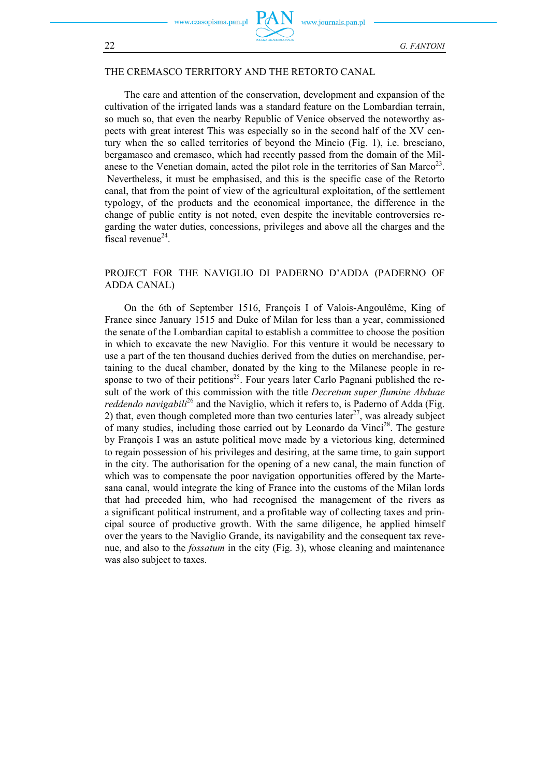w.czasopisma.pan.pl



www.journals.pan.pl

#### THE CREMASCO TERRITORY AND THE RETORTO CANAL

The care and attention of the conservation, development and expansion of the cultivation of the irrigated lands was a standard feature on the Lombardian terrain, so much so, that even the nearby Republic of Venice observed the noteworthy aspects with great interest This was especially so in the second half of the XV century when the so called territories of beyond the Mincio (Fig. 1), i.e. bresciano, bergamasco and cremasco, which had recently passed from the domain of the Milanese to the Venetian domain, acted the pilot role in the territories of San Marco<sup>23</sup>. Nevertheless, it must be emphasised, and this is the specific case of the Retorto canal, that from the point of view of the agricultural exploitation, of the settlement typology, of the products and the economical importance, the difference in the change of public entity is not noted, even despite the inevitable controversies regarding the water duties, concessions, privileges and above all the charges and the fiscal revenue<sup>24</sup>.

#### PROJECT FOR THE NAVIGLIO DI PADERNO D'ADDA (PADERNO OF ADDA CANAL)

On the 6th of September 1516, François I of Valois-Angoulême, King of France since January 1515 and Duke of Milan for less than a year, commissioned the senate of the Lombardian capital to establish a committee to choose the position in which to excavate the new Naviglio. For this venture it would be necessary to use a part of the ten thousand duchies derived from the duties on merchandise, pertaining to the ducal chamber, donated by the king to the Milanese people in response to two of their petitions<sup>25</sup>. Four years later Carlo Pagnani published the result of the work of this commission with the title *Decretum super flumine Abduae reddendo navigabili*<sup>26</sup> and the Naviglio, which it refers to, is Paderno of Adda (Fig. 2) that, even though completed more than two centuries later<sup>27</sup>, was already subject of many studies, including those carried out by Leonardo da Vinci<sup>28</sup>. The gesture by François I was an astute political move made by a victorious king, determined to regain possession of his privileges and desiring, at the same time, to gain support in the city. The authorisation for the opening of a new canal, the main function of which was to compensate the poor navigation opportunities offered by the Martesana canal, would integrate the king of France into the customs of the Milan lords that had preceded him, who had recognised the management of the rivers as a significant political instrument, and a profitable way of collecting taxes and principal source of productive growth. With the same diligence, he applied himself over the years to the Naviglio Grande, its navigability and the consequent tax revenue, and also to the *fossatum* in the city (Fig. 3), whose cleaning and maintenance was also subject to taxes.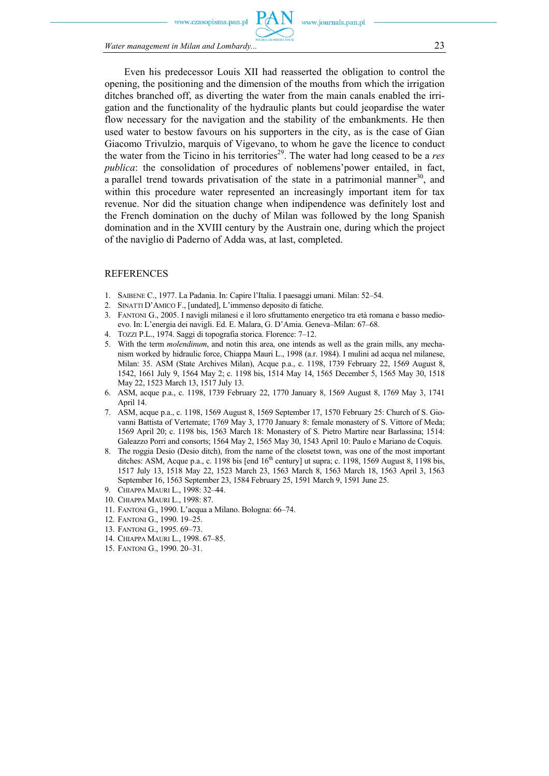w czasonisma nan n



*Water management in Milan and Lombardy...* 23

Even his predecessor Louis XII had reasserted the obligation to control the opening, the positioning and the dimension of the mouths from which the irrigation ditches branched off, as diverting the water from the main canals enabled the irrigation and the functionality of the hydraulic plants but could jeopardise the water flow necessary for the navigation and the stability of the embankments. He then used water to bestow favours on his supporters in the city, as is the case of Gian Giacomo Trivulzio, marquis of Vigevano, to whom he gave the licence to conduct the water from the Ticino in his territories<sup>29</sup>. The water had long ceased to be a *res publica*: the consolidation of procedures of noblemens'power entailed, in fact, a parallel trend towards privatisation of the state in a patrimonial manner<sup>30</sup>, and within this procedure water represented an increasingly important item for tax revenue. Nor did the situation change when indipendence was definitely lost and the French domination on the duchy of Milan was followed by the long Spanish domination and in the XVIII century by the Austrain one, during which the project of the naviglio di Paderno of Adda was, at last, completed.

#### **REFERENCES**

- 1. SAIBENE C., 1977. La Padania. In: Capire l'Italia. I paesaggi umani. Milan: 52–54.
- 2. SINATTI D'AMICO F., [undated], L'immenso deposito di fatiche.
- 3. FANTONI G., 2005. I navigli milanesi e il loro sfruttamento energetico tra età romana e basso medioevo. In: L'energia dei navigli. Ed. E. Malara, G. D'Amia. Geneva–Milan: 67–68.
- 4. TOZZI P.L., 1974. Saggi di topografia storica. Florence: 7–12.
- 5. With the term *molendinum*, and notin this area, one intends as well as the grain mills, any mechanism worked by hidraulic force, Chiappa Mauri L., 1998 (a.r. 1984). I mulini ad acqua nel milanese, Milan: 35. ASM (State Archives Milan), Acque p.a., c. 1198, 1739 February 22, 1569 August 8, 1542, 1661 July 9, 1564 May 2; c. 1198 bis, 1514 May 14, 1565 December 5, 1565 May 30, 1518 May 22, 1523 March 13, 1517 July 13.
- 6. ASM, acque p.a., c. 1198, 1739 February 22, 1770 January 8, 1569 August 8, 1769 May 3, 1741 April 14.
- 7. ASM, acque p.a., c. 1198, 1569 August 8, 1569 September 17, 1570 February 25: Church of S. Giovanni Battista of Vertemate; 1769 May 3, 1770 January 8: female monastery of S. Vittore of Meda; 1569 April 20; c. 1198 bis, 1563 March 18: Monastery of S. Pietro Martire near Barlassina; 1514: Galeazzo Porri and consorts; 1564 May 2, 1565 May 30, 1543 April 10: Paulo e Mariano de Coquis.
- 8. The roggia Desio (Desio ditch), from the name of the closetst town, was one of the most important ditches: ASM, Acque p.a., c. 1198 bis [end  $16<sup>th</sup>$  century] ut supra; c. 1198, 1569 August 8, 1198 bis, 1517 July 13, 1518 May 22, 1523 March 23, 1563 March 8, 1563 March 18, 1563 April 3, 1563 September 16, 1563 September 23, 1584 February 25, 1591 March 9, 1591 June 25.
- 9. CHIAPPA MAURI L., 1998: 32–44.
- 10. CHIAPPA MAURI L., 1998: 87.
- 11. FANTONI G., 1990. L'acqua a Milano. Bologna: 66–74.
- 12. FANTONI G., 1990. 19–25.
- 13. FANTONI G., 1995. 69–73.
- 14. CHIAPPA MAURI L., 1998. 67–85.
- 15. FANTONI G., 1990. 20–31.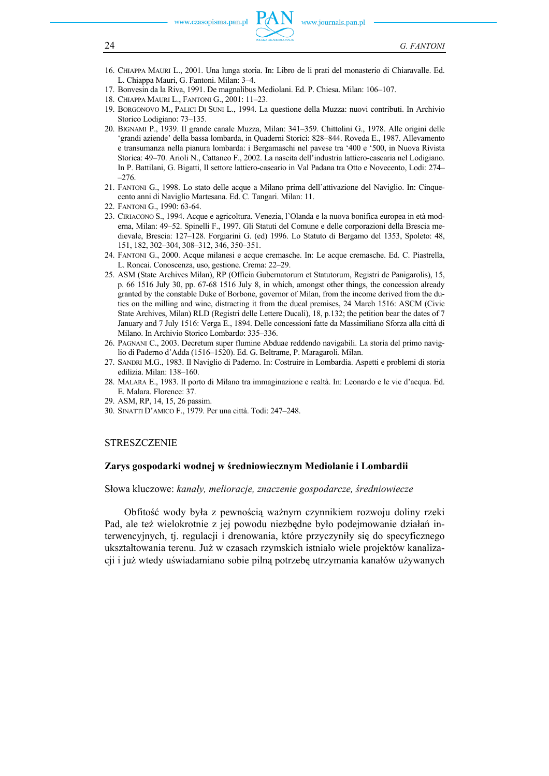- 16. CHIAPPA MAURI L., 2001. Una lunga storia. In: Libro de li prati del monasterio di Chiaravalle. Ed. L. Chiappa Mauri, G. Fantoni. Milan: 3–4.
- 17. Bonvesin da la Riva, 1991. De magnalibus Mediolani. Ed. P. Chiesa. Milan: 106–107.
- 18. CHIAPPA MAURI L., FANTONI G., 2001: 11–23.
- 19. BORGONOVO M., PALICI DI SUNI L., 1994. La questione della Muzza: nuovi contributi. In Archivio Storico Lodigiano: 73–135.
- 20. BIGNAMI P., 1939. Il grande canale Muzza, Milan: 341–359. Chittolini G., 1978. Alle origini delle 'grandi aziende' della bassa lombarda, in Quaderni Storici: 828–844. Roveda E., 1987. Allevamento e transumanza nella pianura lombarda: i Bergamaschi nel pavese tra '400 e '500, in Nuova Rivista Storica: 49–70. Arioli N., Cattaneo F., 2002. La nascita dell'industria lattiero-casearia nel Lodigiano. In P. Battilani, G. Bigatti, Il settore lattiero-caseario in Val Padana tra Otto e Novecento, Lodi: 274– –276.
- 21. FANTONI G., 1998. Lo stato delle acque a Milano prima dell'attivazione del Naviglio. In: Cinquecento anni di Naviglio Martesana. Ed. C. Tangari. Milan: 11.
- 22. FANTONI G., 1990: 63-64.
- 23. CIRIACONO S., 1994. Acque e agricoltura. Venezia, l'Olanda e la nuova bonifica europea in età moderna, Milan: 49–52. Spinelli F., 1997. Gli Statuti del Comune e delle corporazioni della Brescia medievale, Brescia: 127–128. Forgiarini G. (ed) 1996. Lo Statuto di Bergamo del 1353, Spoleto: 48, 151, 182, 302–304, 308–312, 346, 350–351.
- 24. FANTONI G., 2000. Acque milanesi e acque cremasche. In: Le acque cremasche. Ed. C. Piastrella, L. Roncai. Conoscenza, uso, gestione. Crema: 22–29.
- 25. ASM (State Archives Milan), RP (Officia Gubernatorum et Statutorum, Registri de Panigarolis), 15, p. 66 1516 July 30, pp. 67-68 1516 July 8, in which, amongst other things, the concession already granted by the constable Duke of Borbone, governor of Milan, from the income derived from the duties on the milling and wine, distracting it from the ducal premises, 24 March 1516: ASCM (Civic State Archives, Milan) RLD (Registri delle Lettere Ducali), 18, p.132; the petition bear the dates of 7 January and 7 July 1516: Verga E., 1894. Delle concessioni fatte da Massimiliano Sforza alla città di Milano. In Archivio Storico Lombardo: 335–336.
- 26. PAGNANI C., 2003. Decretum super flumine Abduae reddendo navigabili. La storia del primo naviglio di Paderno d'Adda (1516–1520). Ed. G. Beltrame, P. Maragaroli. Milan.
- 27. SANDRI M.G., 1983. Il Naviglio di Paderno. In: Costruire in Lombardia. Aspetti e problemi di storia edilizia. Milan: 138–160.
- 28. MALARA E., 1983. Il porto di Milano tra immaginazione e realtà. In: Leonardo e le vie d'acqua. Ed. E. Malara. Florence: 37.
- 29. ASM, RP, 14, 15, 26 passim.
- 30. SINATTI D'AMICO F., 1979. Per una città. Todi: 247–248.

### **STRESZCZENIE**

### **Zarys gospodarki wodnej w średniowiecznym Mediolanie i Lombardii**

Słowa kluczowe: *kanały, melioracje, znaczenie gospodarcze, średniowiecze* 

Obfitość wody była z pewnością ważnym czynnikiem rozwoju doliny rzeki Pad, ale też wielokrotnie z jej powodu niezbędne było podejmowanie działań interwencyjnych, tj. regulacji i drenowania, które przyczyniły się do specyficznego ukształtowania terenu. Już w czasach rzymskich istniało wiele projektów kanalizacji i już wtedy uświadamiano sobie pilną potrzebę utrzymania kanałów używanych